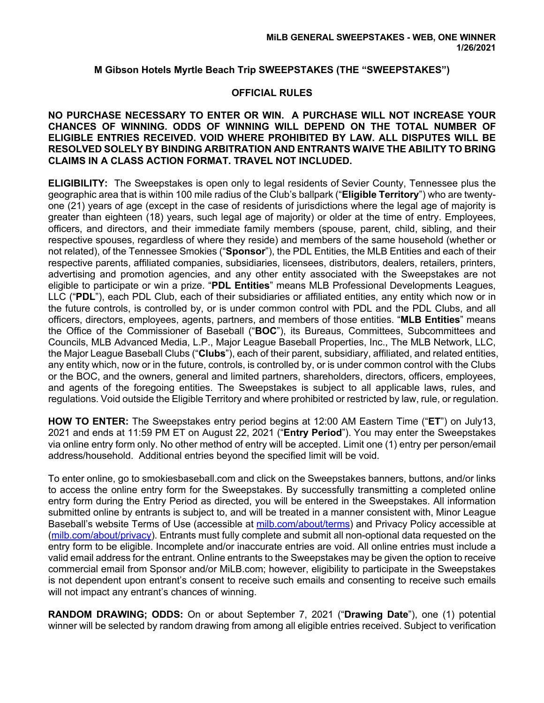# **M Gibson Hotels Myrtle Beach Trip SWEEPSTAKES (THE "SWEEPSTAKES")**

## **OFFICIAL RULES**

### **NO PURCHASE NECESSARY TO ENTER OR WIN. A PURCHASE WILL NOT INCREASE YOUR CHANCES OF WINNING. ODDS OF WINNING WILL DEPEND ON THE TOTAL NUMBER OF ELIGIBLE ENTRIES RECEIVED. VOID WHERE PROHIBITED BY LAW. ALL DISPUTES WILL BE RESOLVED SOLELY BY BINDING ARBITRATION AND ENTRANTS WAIVE THE ABILITY TO BRING CLAIMS IN A CLASS ACTION FORMAT. TRAVEL NOT INCLUDED.**

**ELIGIBILITY:** The Sweepstakes is open only to legal residents of Sevier County, Tennessee plus the geographic area that is within 100 mile radius of the Club's ballpark ("**Eligible Territory**") who are twentyone (21) years of age (except in the case of residents of jurisdictions where the legal age of majority is greater than eighteen (18) years, such legal age of majority) or older at the time of entry. Employees, officers, and directors, and their immediate family members (spouse, parent, child, sibling, and their respective spouses, regardless of where they reside) and members of the same household (whether or not related), of the Tennessee Smokies ("**Sponsor**"), the PDL Entities, the MLB Entities and each of their respective parents, affiliated companies, subsidiaries, licensees, distributors, dealers, retailers, printers, advertising and promotion agencies, and any other entity associated with the Sweepstakes are not eligible to participate or win a prize. "**PDL Entities**" means MLB Professional Developments Leagues, LLC ("**PDL**"), each PDL Club, each of their subsidiaries or affiliated entities, any entity which now or in the future controls, is controlled by, or is under common control with PDL and the PDL Clubs, and all officers, directors, employees, agents, partners, and members of those entities. "**MLB Entities**" means the Office of the Commissioner of Baseball ("**BOC**"), its Bureaus, Committees, Subcommittees and Councils, MLB Advanced Media, L.P., Major League Baseball Properties, Inc., The MLB Network, LLC, the Major League Baseball Clubs ("**Clubs**"), each of their parent, subsidiary, affiliated, and related entities, any entity which, now or in the future, controls, is controlled by, or is under common control with the Clubs or the BOC, and the owners, general and limited partners, shareholders, directors, officers, employees, and agents of the foregoing entities. The Sweepstakes is subject to all applicable laws, rules, and regulations. Void outside the Eligible Territory and where prohibited or restricted by law, rule, or regulation.

**HOW TO ENTER:** The Sweepstakes entry period begins at 12:00 AM Eastern Time ("**ET**") on July13, 2021 and ends at 11:59 PM ET on August 22, 2021 ("**Entry Period**"). You may enter the Sweepstakes via online entry form only. No other method of entry will be accepted. Limit one (1) entry per person/email address/household. Additional entries beyond the specified limit will be void.

To enter online, go to smokiesbaseball.com and click on the Sweepstakes banners, buttons, and/or links to access the online entry form for the Sweepstakes. By successfully transmitting a completed online entry form during the Entry Period as directed, you will be entered in the Sweepstakes. All information submitted online by entrants is subject to, and will be treated in a manner consistent with, Minor League Baseball's website Terms of Use (accessible at milb.com/about/terms) and Privacy Policy accessible at (milb.com/about/privacy). Entrants must fully complete and submit all non-optional data requested on the entry form to be eligible. Incomplete and/or inaccurate entries are void. All online entries must include a valid email address for the entrant. Online entrants to the Sweepstakes may be given the option to receive commercial email from Sponsor and/or MiLB.com; however, eligibility to participate in the Sweepstakes is not dependent upon entrant's consent to receive such emails and consenting to receive such emails will not impact any entrant's chances of winning.

**RANDOM DRAWING; ODDS:** On or about September 7, 2021 ("**Drawing Date**"), one (1) potential winner will be selected by random drawing from among all eligible entries received. Subject to verification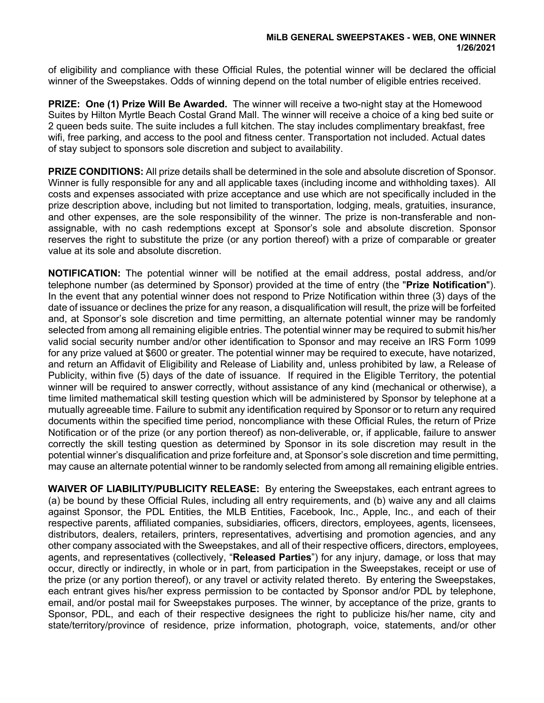of eligibility and compliance with these Official Rules, the potential winner will be declared the official winner of the Sweepstakes. Odds of winning depend on the total number of eligible entries received.

**PRIZE: One (1) Prize Will Be Awarded.** The winner will receive a two-night stay at the Homewood Suites by Hilton Myrtle Beach Costal Grand Mall. The winner will receive a choice of a king bed suite or 2 queen beds suite. The suite includes a full kitchen. The stay includes complimentary breakfast, free wifi, free parking, and access to the pool and fitness center. Transportation not included. Actual dates of stay subject to sponsors sole discretion and subject to availability.

**PRIZE CONDITIONS:** All prize details shall be determined in the sole and absolute discretion of Sponsor. Winner is fully responsible for any and all applicable taxes (including income and withholding taxes). All costs and expenses associated with prize acceptance and use which are not specifically included in the prize description above, including but not limited to transportation, lodging, meals, gratuities, insurance, and other expenses, are the sole responsibility of the winner. The prize is non-transferable and nonassignable, with no cash redemptions except at Sponsor's sole and absolute discretion. Sponsor reserves the right to substitute the prize (or any portion thereof) with a prize of comparable or greater value at its sole and absolute discretion.

**NOTIFICATION:** The potential winner will be notified at the email address, postal address, and/or telephone number (as determined by Sponsor) provided at the time of entry (the "**Prize Notification**"). In the event that any potential winner does not respond to Prize Notification within three (3) days of the date of issuance or declines the prize for any reason, a disqualification will result, the prize will be forfeited and, at Sponsor's sole discretion and time permitting, an alternate potential winner may be randomly selected from among all remaining eligible entries. The potential winner may be required to submit his/her valid social security number and/or other identification to Sponsor and may receive an IRS Form 1099 for any prize valued at \$600 or greater. The potential winner may be required to execute, have notarized, and return an Affidavit of Eligibility and Release of Liability and, unless prohibited by law, a Release of Publicity, within five (5) days of the date of issuance. If required in the Eligible Territory, the potential winner will be required to answer correctly, without assistance of any kind (mechanical or otherwise), a time limited mathematical skill testing question which will be administered by Sponsor by telephone at a mutually agreeable time. Failure to submit any identification required by Sponsor or to return any required documents within the specified time period, noncompliance with these Official Rules, the return of Prize Notification or of the prize (or any portion thereof) as non-deliverable, or, if applicable, failure to answer correctly the skill testing question as determined by Sponsor in its sole discretion may result in the potential winner's disqualification and prize forfeiture and, at Sponsor's sole discretion and time permitting, may cause an alternate potential winner to be randomly selected from among all remaining eligible entries.

**WAIVER OF LIABILITY/PUBLICITY RELEASE:** By entering the Sweepstakes, each entrant agrees to (a) be bound by these Official Rules, including all entry requirements, and (b) waive any and all claims against Sponsor, the PDL Entities, the MLB Entities, Facebook, Inc., Apple, Inc., and each of their respective parents, affiliated companies, subsidiaries, officers, directors, employees, agents, licensees, distributors, dealers, retailers, printers, representatives, advertising and promotion agencies, and any other company associated with the Sweepstakes, and all of their respective officers, directors, employees, agents, and representatives (collectively, "**Released Parties**") for any injury, damage, or loss that may occur, directly or indirectly, in whole or in part, from participation in the Sweepstakes, receipt or use of the prize (or any portion thereof), or any travel or activity related thereto. By entering the Sweepstakes, each entrant gives his/her express permission to be contacted by Sponsor and/or PDL by telephone, email, and/or postal mail for Sweepstakes purposes. The winner, by acceptance of the prize, grants to Sponsor, PDL, and each of their respective designees the right to publicize his/her name, city and state/territory/province of residence, prize information, photograph, voice, statements, and/or other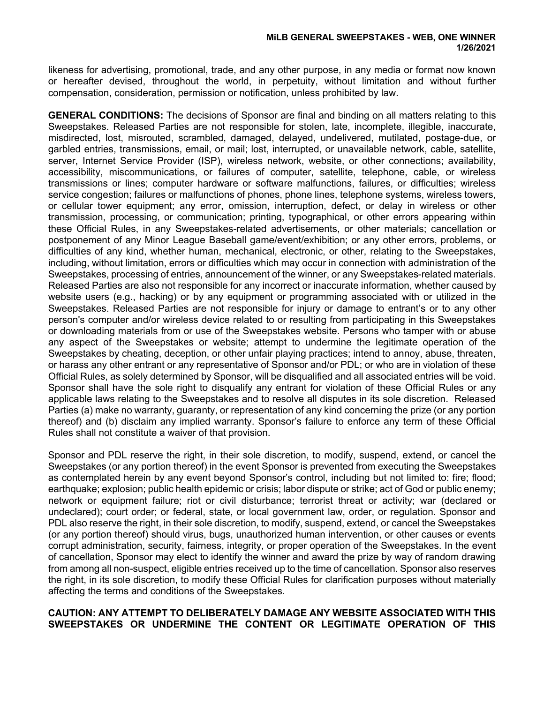likeness for advertising, promotional, trade, and any other purpose, in any media or format now known or hereafter devised, throughout the world, in perpetuity, without limitation and without further compensation, consideration, permission or notification, unless prohibited by law.

**GENERAL CONDITIONS:** The decisions of Sponsor are final and binding on all matters relating to this Sweepstakes. Released Parties are not responsible for stolen, late, incomplete, illegible, inaccurate, misdirected, lost, misrouted, scrambled, damaged, delayed, undelivered, mutilated, postage-due, or garbled entries, transmissions, email, or mail; lost, interrupted, or unavailable network, cable, satellite, server, Internet Service Provider (ISP), wireless network, website, or other connections; availability, accessibility, miscommunications, or failures of computer, satellite, telephone, cable, or wireless transmissions or lines; computer hardware or software malfunctions, failures, or difficulties; wireless service congestion; failures or malfunctions of phones, phone lines, telephone systems, wireless towers, or cellular tower equipment; any error, omission, interruption, defect, or delay in wireless or other transmission, processing, or communication; printing, typographical, or other errors appearing within these Official Rules, in any Sweepstakes-related advertisements, or other materials; cancellation or postponement of any Minor League Baseball game/event/exhibition; or any other errors, problems, or difficulties of any kind, whether human, mechanical, electronic, or other, relating to the Sweepstakes, including, without limitation, errors or difficulties which may occur in connection with administration of the Sweepstakes, processing of entries, announcement of the winner, or any Sweepstakes-related materials. Released Parties are also not responsible for any incorrect or inaccurate information, whether caused by website users (e.g., hacking) or by any equipment or programming associated with or utilized in the Sweepstakes. Released Parties are not responsible for injury or damage to entrant's or to any other person's computer and/or wireless device related to or resulting from participating in this Sweepstakes or downloading materials from or use of the Sweepstakes website. Persons who tamper with or abuse any aspect of the Sweepstakes or website; attempt to undermine the legitimate operation of the Sweepstakes by cheating, deception, or other unfair playing practices; intend to annoy, abuse, threaten, or harass any other entrant or any representative of Sponsor and/or PDL; or who are in violation of these Official Rules, as solely determined by Sponsor, will be disqualified and all associated entries will be void. Sponsor shall have the sole right to disqualify any entrant for violation of these Official Rules or any applicable laws relating to the Sweepstakes and to resolve all disputes in its sole discretion. Released Parties (a) make no warranty, guaranty, or representation of any kind concerning the prize (or any portion thereof) and (b) disclaim any implied warranty. Sponsor's failure to enforce any term of these Official Rules shall not constitute a waiver of that provision.

Sponsor and PDL reserve the right, in their sole discretion, to modify, suspend, extend, or cancel the Sweepstakes (or any portion thereof) in the event Sponsor is prevented from executing the Sweepstakes as contemplated herein by any event beyond Sponsor's control, including but not limited to: fire; flood; earthquake; explosion; public health epidemic or crisis; labor dispute or strike; act of God or public enemy; network or equipment failure; riot or civil disturbance; terrorist threat or activity; war (declared or undeclared); court order; or federal, state, or local government law, order, or regulation. Sponsor and PDL also reserve the right, in their sole discretion, to modify, suspend, extend, or cancel the Sweepstakes (or any portion thereof) should virus, bugs, unauthorized human intervention, or other causes or events corrupt administration, security, fairness, integrity, or proper operation of the Sweepstakes. In the event of cancellation, Sponsor may elect to identify the winner and award the prize by way of random drawing from among all non-suspect, eligible entries received up to the time of cancellation. Sponsor also reserves the right, in its sole discretion, to modify these Official Rules for clarification purposes without materially affecting the terms and conditions of the Sweepstakes.

# **CAUTION: ANY ATTEMPT TO DELIBERATELY DAMAGE ANY WEBSITE ASSOCIATED WITH THIS SWEEPSTAKES OR UNDERMINE THE CONTENT OR LEGITIMATE OPERATION OF THIS**